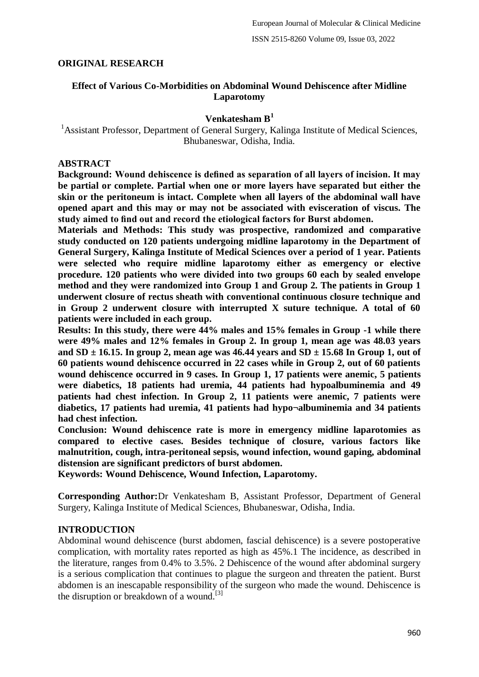### **ORIGINAL RESEARCH**

### **Effect of Various Co-Morbidities on Abdominal Wound Dehiscence after Midline Laparotomy**

### **Venkatesham B<sup>1</sup>**

<sup>1</sup> Assistant Professor, Department of General Surgery, Kalinga Institute of Medical Sciences, Bhubaneswar, Odisha, India.

### **ABSTRACT**

**Background: Wound dehiscence is defined as separation of all layers of incision. It may be partial or complete. Partial when one or more layers have separated but either the skin or the peritoneum is intact. Complete when all layers of the abdominal wall have opened apart and this may or may not be associated with evisceration of viscus. The study aimed to find out and record the etiological factors for Burst abdomen.**

**Materials and Methods: This study was prospective, randomized and comparative study conducted on 120 patients undergoing midline laparotomy in the Department of General Surgery, Kalinga Institute of Medical Sciences over a period of 1 year. Patients were selected who require midline laparotomy either as emergency or elective procedure. 120 patients who were divided into two groups 60 each by sealed envelope method and they were randomized into Group 1 and Group 2. The patients in Group 1 underwent closure of rectus sheath with conventional continuous closure technique and in Group 2 underwent closure with interrupted X suture technique. A total of 60 patients were included in each group.**

**Results: In this study, there were 44% males and 15% females in Group -1 while there were 49% males and 12% females in Group 2. In group 1, mean age was 48.03 years and SD ± 16.15. In group 2, mean age was 46.44 years and SD ± 15.68 In Group 1, out of 60 patients wound dehiscence occurred in 22 cases while in Group 2, out of 60 patients wound dehiscence occurred in 9 cases. In Group 1, 17 patients were anemic, 5 patients were diabetics, 18 patients had uremia, 44 patients had hypoalbuminemia and 49 patients had chest infection. In Group 2, 11 patients were anemic, 7 patients were diabetics, 17 patients had uremia, 41 patients had hypo¬albuminemia and 34 patients had chest infection.**

**Conclusion: Wound dehiscence rate is more in emergency midline laparotomies as compared to elective cases. Besides technique of closure, various factors like malnutrition, cough, intra-peritoneal sepsis, wound infection, wound gaping, abdominal distension are significant predictors of burst abdomen.**

**Keywords: Wound Dehiscence, Wound Infection, Laparotomy.**

**Corresponding Author:**Dr Venkatesham B, Assistant Professor, Department of General Surgery, Kalinga Institute of Medical Sciences, Bhubaneswar, Odisha, India.

#### **INTRODUCTION**

Abdominal wound dehiscence (burst abdomen, fascial dehiscence) is a severe postoperative complication, with mortality rates reported as high as 45%.1 The incidence, as described in the literature, ranges from 0.4% to 3.5%. 2 Dehiscence of the wound after abdominal surgery is a serious complication that continues to plague the surgeon and threaten the patient. Burst abdomen is an inescapable responsibility of the surgeon who made the wound. Dehiscence is the disruption or breakdown of a wound.<sup>[3]</sup>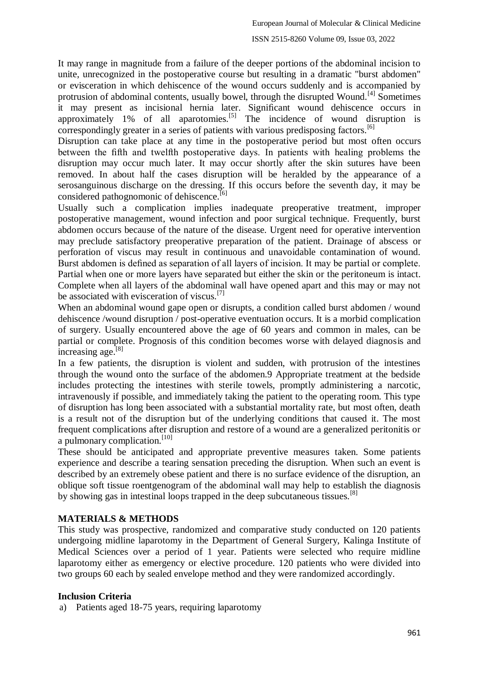It may range in magnitude from a failure of the deeper portions of the abdominal incision to unite, unrecognized in the postoperative course but resulting in a dramatic "burst abdomen" or evisceration in which dehiscence of the wound occurs suddenly and is accompanied by protrusion of abdominal contents, usually bowel, through the disrupted Wound.<sup>[4]</sup> Sometimes it may present as incisional hernia later. Significant wound dehiscence occurs in approximately 1% of all aparotomies.<sup>[5]</sup> The incidence of wound disruption is correspondingly greater in a series of patients with various predisposing factors.<sup>[6]</sup>

Disruption can take place at any time in the postoperative period but most often occurs between the fifth and twelfth postoperative days. In patients with healing problems the disruption may occur much later. It may occur shortly after the skin sutures have been removed. In about half the cases disruption will be heralded by the appearance of a serosanguinous discharge on the dressing. If this occurs before the seventh day, it may be considered pathognomonic of dehiscence.<sup>[6]</sup>

Usually such a complication implies inadequate preoperative treatment, improper postoperative management, wound infection and poor surgical technique. Frequently, burst abdomen occurs because of the nature of the disease. Urgent need for operative intervention may preclude satisfactory preoperative preparation of the patient. Drainage of abscess or perforation of viscus may result in continuous and unavoidable contamination of wound. Burst abdomen is defined as separation of all layers of incision. It may be partial or complete. Partial when one or more layers have separated but either the skin or the peritoneum is intact. Complete when all layers of the abdominal wall have opened apart and this may or may not be associated with evisceration of viscus. $^{[7]}$ 

When an abdominal wound gape open or disrupts, a condition called burst abdomen / wound dehiscence /wound disruption / post-operative eventuation occurs. It is a morbid complication of surgery. Usually encountered above the age of 60 years and common in males, can be partial or complete. Prognosis of this condition becomes worse with delayed diagnosis and increasing age.[8]

In a few patients, the disruption is violent and sudden, with protrusion of the intestines through the wound onto the surface of the abdomen.9 Appropriate treatment at the bedside includes protecting the intestines with sterile towels, promptly administering a narcotic, intravenously if possible, and immediately taking the patient to the operating room. This type of disruption has long been associated with a substantial mortality rate, but most often, death is a result not of the disruption but of the underlying conditions that caused it. The most frequent complications after disruption and restore of a wound are a generalized peritonitis or a pulmonary complication.<sup>[10]</sup>

These should be anticipated and appropriate preventive measures taken. Some patients experience and describe a tearing sensation preceding the disruption. When such an event is described by an extremely obese patient and there is no surface evidence of the disruption, an oblique soft tissue roentgenogram of the abdominal wall may help to establish the diagnosis by showing gas in intestinal loops trapped in the deep subcutaneous tissues. $[8]$ 

# **MATERIALS & METHODS**

This study was prospective, randomized and comparative study conducted on 120 patients undergoing midline laparotomy in the Department of General Surgery, Kalinga Institute of Medical Sciences over a period of 1 year. Patients were selected who require midline laparotomy either as emergency or elective procedure. 120 patients who were divided into two groups 60 each by sealed envelope method and they were randomized accordingly.

#### **Inclusion Criteria**

a) Patients aged 18-75 years, requiring laparotomy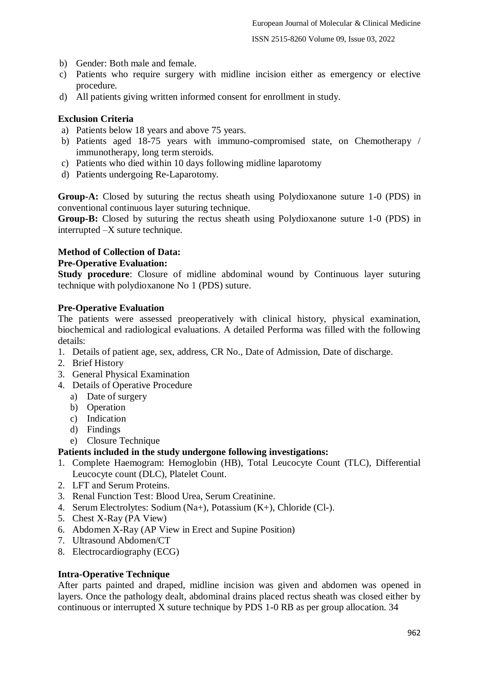- b) Gender: Both male and female.
- c) Patients who require surgery with midline incision either as emergency or elective procedure.
- d) All patients giving written informed consent for enrollment in study.

# **Exclusion Criteria**

- a) Patients below 18 years and above 75 years.
- b) Patients aged 18-75 years with immuno-compromised state, on Chemotherapy / immunotherapy, long term steroids.
- c) Patients who died within 10 days following midline laparotomy
- d) Patients undergoing Re-Laparotomy.

**Group-A:** Closed by suturing the rectus sheath using Polydioxanone suture 1-0 (PDS) in conventional continuous layer suturing technique.

**Group-B:** Closed by suturing the rectus sheath using Polydioxanone suture 1-0 (PDS) in interrupted –X suture technique.

### **Method of Collection of Data:**

### **Pre-Operative Evaluation:**

**Study procedure**: Closure of midline abdominal wound by Continuous layer suturing technique with polydioxanone No 1 (PDS) suture.

#### **Pre-Operative Evaluation**

The patients were assessed preoperatively with clinical history, physical examination, biochemical and radiological evaluations. A detailed Performa was filled with the following details:

- 1. Details of patient age, sex, address, CR No., Date of Admission, Date of discharge.
- 2. Brief History
- 3. General Physical Examination
- 4. Details of Operative Procedure
	- a) Date of surgery
	- b) Operation
	- c) Indication
	- d) Findings
	- e) Closure Technique

# **Patients included in the study undergone following investigations:**

- 1. Complete Haemogram: Hemoglobin (HB), Total Leucocyte Count (TLC), Differential Leucocyte count (DLC), Platelet Count.
- 2. LFT and Serum Proteins.
- 3. Renal Function Test: Blood Urea, Serum Creatinine.
- 4. Serum Electrolytes: Sodium (Na+), Potassium (K+), Chloride (Cl-).
- 5. Chest X-Ray (PA View)
- 6. Abdomen X-Ray (AP View in Erect and Supine Position)
- 7. Ultrasound Abdomen/CT
- 8. Electrocardiography (ECG)

#### **Intra-Operative Technique**

After parts painted and draped, midline incision was given and abdomen was opened in layers. Once the pathology dealt, abdominal drains placed rectus sheath was closed either by continuous or interrupted X suture technique by PDS 1-0 RB as per group allocation. 34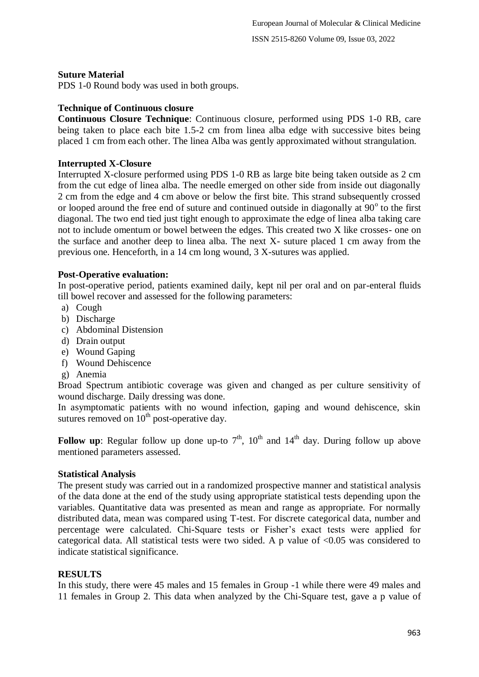### **Suture Material**

PDS 1-0 Round body was used in both groups.

### **Technique of Continuous closure**

**Continuous Closure Technique**: Continuous closure, performed using PDS 1-0 RB, care being taken to place each bite 1.5-2 cm from linea alba edge with successive bites being placed 1 cm from each other. The linea Alba was gently approximated without strangulation.

# **Interrupted X-Closure**

Interrupted X-closure performed using PDS 1-0 RB as large bite being taken outside as 2 cm from the cut edge of linea alba. The needle emerged on other side from inside out diagonally 2 cm from the edge and 4 cm above or below the first bite. This strand subsequently crossed or looped around the free end of suture and continued outside in diagonally at  $90^\circ$  to the first diagonal. The two end tied just tight enough to approximate the edge of linea alba taking care not to include omentum or bowel between the edges. This created two X like crosses- one on the surface and another deep to linea alba. The next X- suture placed 1 cm away from the previous one. Henceforth, in a 14 cm long wound, 3 X-sutures was applied.

### **Post-Operative evaluation:**

In post-operative period, patients examined daily, kept nil per oral and on par-enteral fluids till bowel recover and assessed for the following parameters:

- a) Cough
- b) Discharge
- c) Abdominal Distension
- d) Drain output
- e) Wound Gaping
- f) Wound Dehiscence
- g) Anemia

Broad Spectrum antibiotic coverage was given and changed as per culture sensitivity of wound discharge. Daily dressing was done.

In asymptomatic patients with no wound infection, gaping and wound dehiscence, skin sutures removed on  $10<sup>th</sup>$  post-operative day.

**Follow up**: Regular follow up done up-to  $7<sup>th</sup>$ ,  $10<sup>th</sup>$  and  $14<sup>th</sup>$  day. During follow up above mentioned parameters assessed.

# **Statistical Analysis**

The present study was carried out in a randomized prospective manner and statistical analysis of the data done at the end of the study using appropriate statistical tests depending upon the variables. Quantitative data was presented as mean and range as appropriate. For normally distributed data, mean was compared using T-test. For discrete categorical data, number and percentage were calculated. Chi-Square tests or Fisher's exact tests were applied for categorical data. All statistical tests were two sided. A p value of <0.05 was considered to indicate statistical significance.

# **RESULTS**

In this study, there were 45 males and 15 females in Group -1 while there were 49 males and 11 females in Group 2. This data when analyzed by the Chi-Square test, gave a p value of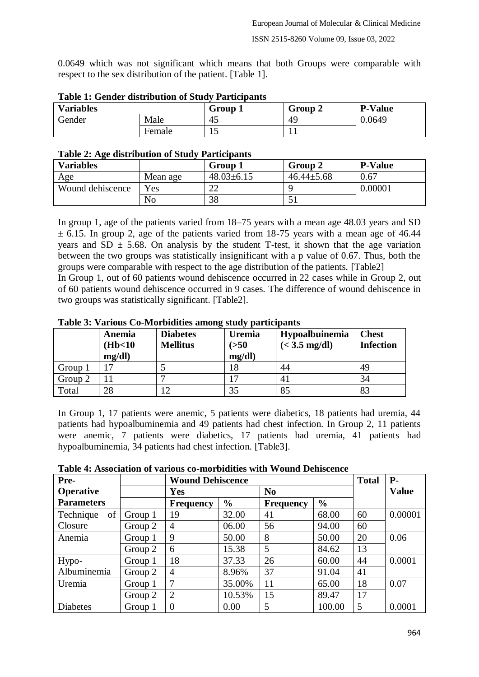0.0649 which was not significant which means that both Groups were comparable with respect to the sex distribution of the patient. [Table 1].

| Tuble 11 Ochael abditionum of Deau / Turelpanes |        |         |         |                |  |  |  |
|-------------------------------------------------|--------|---------|---------|----------------|--|--|--|
| <b>Variables</b>                                |        | Group 1 | Group 2 | <b>P-Value</b> |  |  |  |
| Gender<br>Male                                  |        | 45      | 49      | 0.0649         |  |  |  |
|                                                 | Female | ⊥J      |         |                |  |  |  |

|  | <b>Table 1: Gender distribution of Study Participants</b> |  |
|--|-----------------------------------------------------------|--|
|  |                                                           |  |

| Table 2: Age distribution of Study Participants |  |
|-------------------------------------------------|--|
|                                                 |  |

| <b>Variables</b> |          | Group 1          | Group 2          | <b>P-Value</b> |  |  |  |
|------------------|----------|------------------|------------------|----------------|--|--|--|
| Age              | Mean age | $48.03 \pm 6.15$ | $46.44 \pm 5.68$ | 0.67           |  |  |  |
| Wound dehiscence | Yes      | າາ<br>∠∠         |                  | 0.00001        |  |  |  |
|                  | No       | 38               |                  |                |  |  |  |

In group 1, age of the patients varied from 18–75 years with a mean age 48.03 years and SD  $\pm$  6.15. In group 2, age of the patients varied from 18-75 years with a mean age of 46.44 years and SD  $\pm$  5.68. On analysis by the student T-test, it shown that the age variation between the two groups was statistically insignificant with a p value of 0.67. Thus, both the groups were comparable with respect to the age distribution of the patients. [Table2] In Group 1, out of 60 patients wound dehiscence occurred in 22 cases while in Group 2, out of 60 patients wound dehiscence occurred in 9 cases. The difference of wound dehiscence in two groups was statistically significant. [Table2].

|  | Table 3: Various Co-Morbidities among study participants |  |
|--|----------------------------------------------------------|--|
|  |                                                          |  |

|         | Anemia<br>(Hb<10<br>mg/dl | <b>Diabetes</b><br><b>Mellitus</b> | <b>Uremia</b><br>( >50<br>mg/dl | Hypoalbuinemia<br>$(< 3.5$ mg/dl) | <b>Chest</b><br><b>Infection</b> |
|---------|---------------------------|------------------------------------|---------------------------------|-----------------------------------|----------------------------------|
| Group 1 |                           |                                    | 18                              | 44                                | 49                               |
| Group 2 |                           |                                    |                                 | 4 <sub>1</sub>                    | 34                               |
| Total   | 28                        |                                    | 35                              | 85                                | 83                               |

In Group 1, 17 patients were anemic, 5 patients were diabetics, 18 patients had uremia, 44 patients had hypoalbuminemia and 49 patients had chest infection. In Group 2, 11 patients were anemic, 7 patients were diabetics, 17 patients had uremia, 41 patients had hypoalbuminemia, 34 patients had chest infection. [Table3].

**Table 4: Association of various co-morbidities with Wound Dehiscence**

| Pre-              |         | <b>Wound Dehiscence</b> |               |                  |               | <b>Total</b> | $P-$         |
|-------------------|---------|-------------------------|---------------|------------------|---------------|--------------|--------------|
| <b>Operative</b>  |         | <b>Yes</b>              |               | N <sub>0</sub>   |               |              | <b>Value</b> |
| <b>Parameters</b> |         | <b>Frequency</b>        | $\frac{6}{6}$ | <b>Frequency</b> | $\frac{6}{6}$ |              |              |
| of<br>Technique   | Group 1 | 19                      | 32.00         | 41               | 68.00         | 60           | 0.00001      |
| Closure           | Group 2 | 4                       | 06.00         | 56               | 94.00         | 60           |              |
| Anemia            | Group 1 | 9                       | 50.00         | 8                | 50.00         | 20           | 0.06         |
|                   | Group 2 | 6                       | 15.38         | 5                | 84.62         | 13           |              |
| Hypo-             | Group 1 | 18                      | 37.33         | 26               | 60.00         | 44           | 0.0001       |
| Albuminemia       | Group 2 | 4                       | 8.96%         | 37               | 91.04         | 41           |              |
| Uremia            | Group 1 |                         | 35.00%        | 11               | 65.00         | 18           | 0.07         |
|                   | Group 2 | $\overline{2}$          | 10.53%        | 15               | 89.47         | 17           |              |
| <b>Diabetes</b>   | Group 1 | $\Omega$                | 0.00          | 5                | 100.00        | 5            | 0.0001       |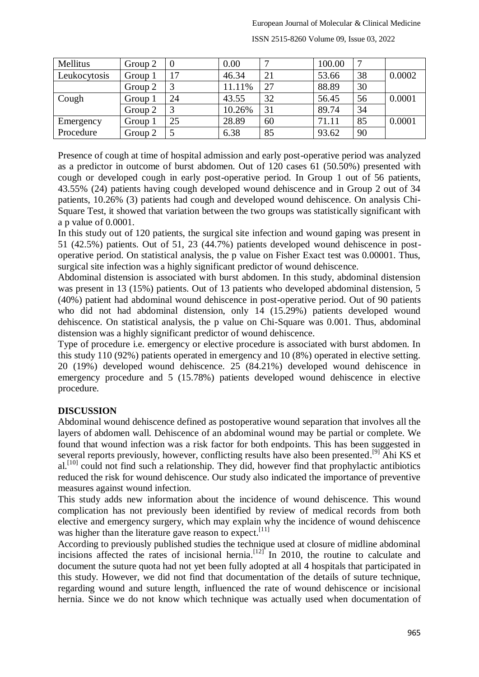#### European Journal of Molecular & Clinical Medicine

| Mellitus     | Group 2 |    | 0.00   |    | 100.00 | ⇁  |        |
|--------------|---------|----|--------|----|--------|----|--------|
| Leukocytosis | Group 1 | 17 | 46.34  | 21 | 53.66  | 38 | 0.0002 |
|              | Group 2 |    | 11.11% | 27 | 88.89  | 30 |        |
| Cough        | Group 1 | 24 | 43.55  | 32 | 56.45  | 56 | 0.0001 |
|              | Group 2 |    | 10.26% | 31 | 89.74  | 34 |        |
| Emergency    | Group 1 | 25 | 28.89  | 60 | 71.11  | 85 | 0.0001 |
| Procedure    | Group 2 |    | 6.38   | 85 | 93.62  | 90 |        |

ISSN 2515-8260 Volume 09, Issue 03, 2022

Presence of cough at time of hospital admission and early post-operative period was analyzed as a predictor in outcome of burst abdomen. Out of 120 cases 61 (50.50%) presented with cough or developed cough in early post-operative period. In Group 1 out of 56 patients, 43.55% (24) patients having cough developed wound dehiscence and in Group 2 out of 34 patients, 10.26% (3) patients had cough and developed wound dehiscence. On analysis Chi-Square Test, it showed that variation between the two groups was statistically significant with a p value of 0.0001.

In this study out of 120 patients, the surgical site infection and wound gaping was present in 51 (42.5%) patients. Out of 51, 23 (44.7%) patients developed wound dehiscence in postoperative period. On statistical analysis, the p value on Fisher Exact test was 0.00001. Thus, surgical site infection was a highly significant predictor of wound dehiscence.

Abdominal distension is associated with burst abdomen. In this study, abdominal distension was present in 13 (15%) patients. Out of 13 patients who developed abdominal distension, 5 (40%) patient had abdominal wound dehiscence in post-operative period. Out of 90 patients who did not had abdominal distension, only 14 (15.29%) patients developed wound dehiscence. On statistical analysis, the p value on Chi-Square was 0.001. Thus, abdominal distension was a highly significant predictor of wound dehiscence.

Type of procedure i.e. emergency or elective procedure is associated with burst abdomen. In this study 110 (92%) patients operated in emergency and 10 (8%) operated in elective setting. 20 (19%) developed wound dehiscence. 25 (84.21%) developed wound dehiscence in emergency procedure and 5 (15.78%) patients developed wound dehiscence in elective procedure.

# **DISCUSSION**

Abdominal wound dehiscence defined as postoperative wound separation that involves all the layers of abdomen wall. Dehiscence of an abdominal wound may be partial or complete. We found that wound infection was a risk factor for both endpoints. This has been suggested in several reports previously, however, conflicting results have also been presented.<sup>[9]</sup> Ahi KS et  $al.<sup>[10]</sup>$  could not find such a relationship. They did, however find that prophylactic antibiotics reduced the risk for wound dehiscence. Our study also indicated the importance of preventive measures against wound infection.

This study adds new information about the incidence of wound dehiscence. This wound complication has not previously been identified by review of medical records from both elective and emergency surgery, which may explain why the incidence of wound dehiscence was higher than the literature gave reason to expect.<sup>[11]</sup>

According to previously published studies the technique used at closure of midline abdominal incisions affected the rates of incisional hernia.<sup>[12]</sup> In 2010, the routine to calculate and document the suture quota had not yet been fully adopted at all 4 hospitals that participated in this study. However, we did not find that documentation of the details of suture technique, regarding wound and suture length, influenced the rate of wound dehiscence or incisional hernia. Since we do not know which technique was actually used when documentation of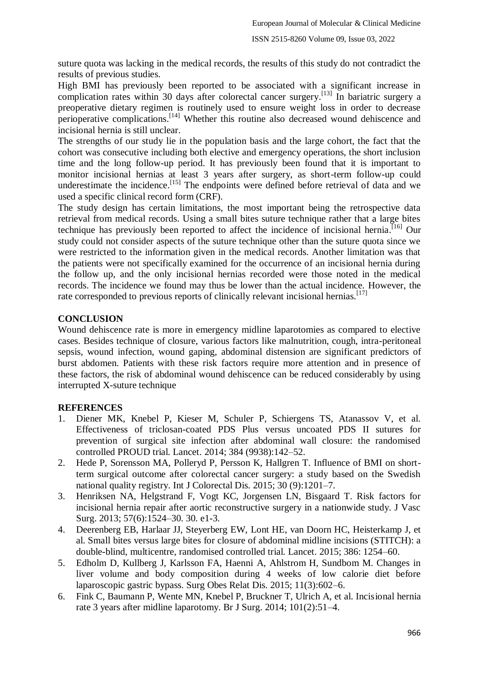suture quota was lacking in the medical records, the results of this study do not contradict the results of previous studies.

High BMI has previously been reported to be associated with a significant increase in complication rates within 30 days after colorectal cancer surgery.<sup>[13]</sup> In bariatric surgery a preoperative dietary regimen is routinely used to ensure weight loss in order to decrease perioperative complications.<sup>[14]</sup> Whether this routine also decreased wound dehiscence and incisional hernia is still unclear.

The strengths of our study lie in the population basis and the large cohort, the fact that the cohort was consecutive including both elective and emergency operations, the short inclusion time and the long follow-up period. It has previously been found that it is important to monitor incisional hernias at least 3 years after surgery, as short-term follow-up could underestimate the incidence.<sup>[15]</sup> The endpoints were defined before retrieval of data and we used a specific clinical record form (CRF).

The study design has certain limitations, the most important being the retrospective data retrieval from medical records. Using a small bites suture technique rather that a large bites technique has previously been reported to affect the incidence of incisional hernia. [16] Our study could not consider aspects of the suture technique other than the suture quota since we were restricted to the information given in the medical records. Another limitation was that the patients were not specifically examined for the occurrence of an incisional hernia during the follow up, and the only incisional hernias recorded were those noted in the medical records. The incidence we found may thus be lower than the actual incidence. However, the rate corresponded to previous reports of clinically relevant incisional hernias.<sup>[17]</sup>

### **CONCLUSION**

Wound dehiscence rate is more in emergency midline laparotomies as compared to elective cases. Besides technique of closure, various factors like malnutrition, cough, intra-peritoneal sepsis, wound infection, wound gaping, abdominal distension are significant predictors of burst abdomen. Patients with these risk factors require more attention and in presence of these factors, the risk of abdominal wound dehiscence can be reduced considerably by using interrupted X-suture technique

# **REFERENCES**

- 1. Diener MK, Knebel P, Kieser M, Schuler P, Schiergens TS, Atanassov V, et al. Effectiveness of triclosan-coated PDS Plus versus uncoated PDS II sutures for prevention of surgical site infection after abdominal wall closure: the randomised controlled PROUD trial. Lancet. 2014; 384 (9938):142–52.
- 2. Hede P, Sorensson MA, Polleryd P, Persson K, Hallgren T. Influence of BMI on shortterm surgical outcome after colorectal cancer surgery: a study based on the Swedish national quality registry. Int J Colorectal Dis. 2015; 30 (9):1201–7.
- 3. Henriksen NA, Helgstrand F, Vogt KC, Jorgensen LN, Bisgaard T. Risk factors for incisional hernia repair after aortic reconstructive surgery in a nationwide study. J Vasc Surg. 2013; 57(6):1524–30. 30. e1-3.
- 4. Deerenberg EB, Harlaar JJ, Steyerberg EW, Lont HE, van Doorn HC, Heisterkamp J, et al. Small bites versus large bites for closure of abdominal midline incisions (STITCH): a double-blind, multicentre, randomised controlled trial. Lancet. 2015; 386: 1254–60.
- 5. Edholm D, Kullberg J, Karlsson FA, Haenni A, Ahlstrom H, Sundbom M. Changes in liver volume and body composition during 4 weeks of low calorie diet before laparoscopic gastric bypass. Surg Obes Relat Dis. 2015; 11(3):602–6.
- 6. Fink C, Baumann P, Wente MN, Knebel P, Bruckner T, Ulrich A, et al. Incisional hernia rate 3 years after midline laparotomy. Br J Surg. 2014; 101(2):51–4.